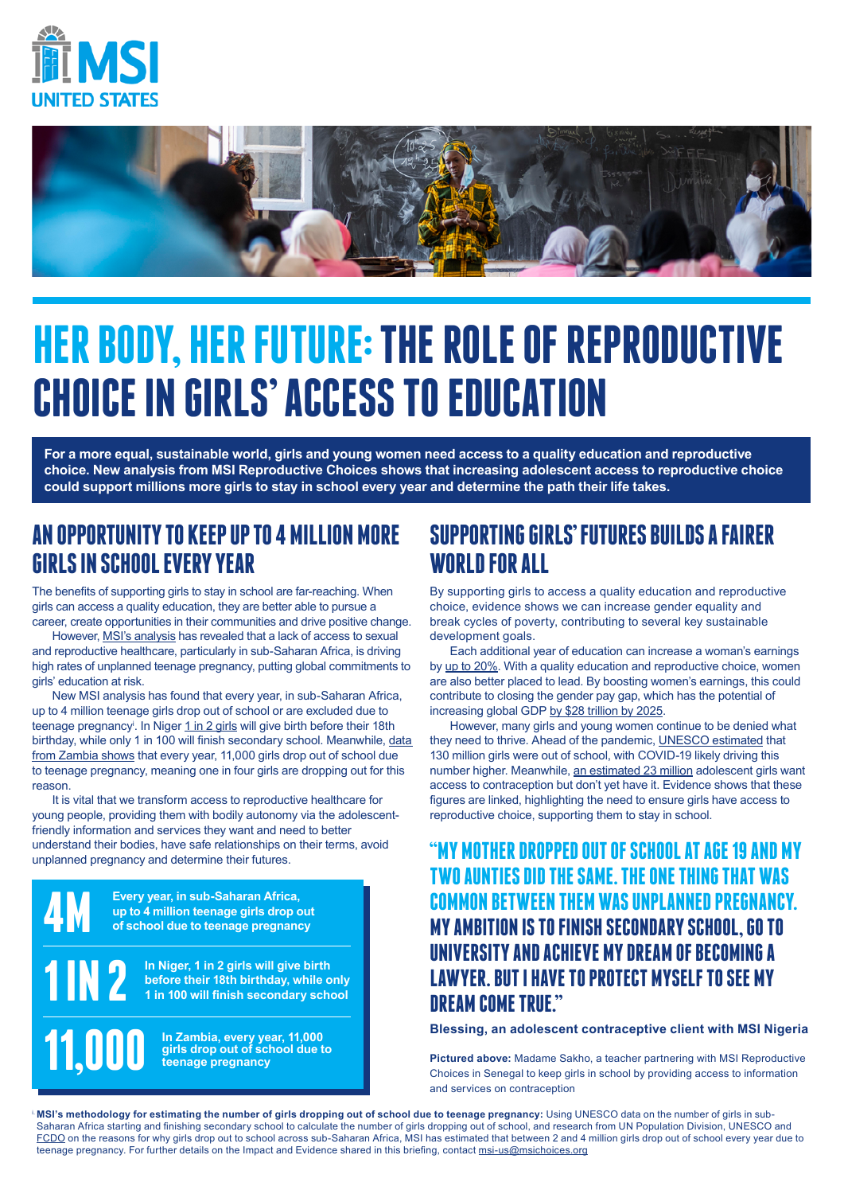



## **HER BODY, HER FUTURE: THE ROLE OF REPRODUCTIVE CHOICE IN GIRLS' ACCESS TOEDUCATION**

**For a more equal, sustainable world, girls and young women need access to a quality education and reproductive choice. New analysis from MSI Reproductive Choices shows that increasing adolescent access to reproductive choice could support millions more girls to stay in school every year and determine the path their life takes.** 

#### **AN OPPORTUNITY TO KEEP UP TO 4 MILLION MORE GIRLS IN SCHOOL EVERY YEAR**

The benefits of supporting girls to stay in school are far-reaching. When girls can access a quality education, they are better able to pursue a career, create opportunities in their communities and drive positive change.

However, [MSI's analysis](https://www.msichoices.org/resources/reproductive-choice-for-all-leaving-no-one-behind-in-reproductive-healthcare/) has revealed that a lack of access to sexual and reproductive healthcare, particularly in sub-Saharan Africa, is driving high rates of unplanned teenage pregnancy, putting global commitments to girls' education at risk.

New MSI analysis has found that every year, in sub-Saharan Africa, up to 4 million teenage girls drop out of school or are excluded due to teenage pregnancy<sup>i</sup>. In Niger <u>1 in 2 girls</u> will give birth before their 18th birthday, while only 1 in 100 will finish secondary school. Meanwhile, [data](https://openknowledge.worldbank.org/bitstream/handle/10986/23865/K8486.pdf?sequence=4&isAllowed=y#:~:text=school%20due%20to%20pregnancy%20are,System%20%5BEMIS%5D%20data).&text=Overall%2C%2058%20percent%20of%20the,Zambia%20lives%20in%20rural%20areas.&text=(16%20percent)%2C%20and%20grades,%E2%80%9312%20(6%20percent)  [from Zambia shows](https://openknowledge.worldbank.org/bitstream/handle/10986/23865/K8486.pdf?sequence=4&isAllowed=y#:~:text=school%20due%20to%20pregnancy%20are,System%20%5BEMIS%5D%20data).&text=Overall%2C%2058%20percent%20of%20the,Zambia%20lives%20in%20rural%20areas.&text=(16%20percent)%2C%20and%20grades,%E2%80%9312%20(6%20percent) that every year, 11,000 girls drop out of school due to teenage pregnancy, meaning one in four girls are dropping out for this reason.

It is vital that we transform access to reproductive healthcare for young people, providing them with bodily autonomy via the adolescentfriendly information and services they want and need to better understand their bodies, have safe relationships on their terms, avoid unplanned pregnancy and determine their futures.

> **Every year, in sub-Saharan Africa, up to 4 million teenage girls drop out of school due to teenage pregnancy**

**4M**

**1 IN 2**

**11,000**

**In Niger, 1 in 2 girls will give birth before their 18th birthday, while only 1 in 100 will finish secondary school**

**In Zambia, every year, 11,000 girls drop out of school due to teenage pregnancy**

#### **SUPPORTING GIRLS' FUTURES BUILDS A FAIRER WORLD FOR ALL**

By supporting girls to access a quality education and reproductive choice, evidence shows we can increase gender equality and break cycles of poverty, contributing to several key sustainable development goals.

Each additional year of education can increase a woman's earnings by [up to 20%](https://en.unesco.org/covid19/educationresponse/girlseducation). With a quality education and reproductive choice, women are also better placed to lead. By boosting women's earnings, this could contribute to closing the gender pay gap, which has the potential of increasing global GDP [by \\$28 trillion by 2025.](https://www.mckinsey.com/featured-insights/employment-and-growth/how-advancing-womens-equality-can-add-12-trillion-to-global-growth#)

However, many girls and young women continue to be denied what they need to thrive. Ahead of the pandemic, [UNESCO estimated](https://en.unesco.org/covid19/educationresponse/girlseducation) that 130 million girls were out of school, with COVID-19 likely driving this number higher. Meanwhile, [an estimated 23 million](https://www.guttmacher.org/report/adding-it-meeting-contraceptive-needs-of-adolescents) adolescent girls want access to contraception but don't yet have it. Evidence shows that these figures are linked, highlighting the need to ensure girls have access to reproductive choice, supporting them to stay in school.

#### **"MY MOTHER DROPPED OUT OF SCHOOL AT AGE 19 AND MY TWO AUNTIES DID THESAME. THE ONE THING THAT WAS COMMON BETWEEN THEM WAS UNPLANNED PREGNANCY. MYAMBITION IS TO FINISH SECONDARY SCHOOL, GO TO UNIVERSITY AND ACHIEVE MY DREAM OF BECOMING A LAWYER. BUT I HAVE TO PROTECT MYSELF TO SEE MY DREAM COME TRUE."**

**Blessing, an adolescent contraceptive client with MSI Nigeria**

**Pictured above:** Madame Sakho, a teacher partnering with MSI Reproductive Choices in Senegal to keep girls in school by providing access to information and services on contraception

MSI's methodology for estimating the number of girls dropping out of school due to teenage pregnancy: Using UNESCO data on the number of girls in sub-Saharan Africa starting and finishing secondary school to calculate the number of girls dropping out of school, and research from UN Population Division, UNESCO and [FCDO](https://assets.publishing.service.gov.uk/media/5c6ac30440f0b61a1afc3f7c/470_Early_Marriage_Pregnancy_and_School_Dropout.pdf) on the reasons for why girls drop out to school across sub-Saharan Africa, MSI has estimated that between 2 and 4 million girls drop out of school every year due to teenage pregnancy. For further details on the Impact and Evidence shared in this briefing, contact msi-us@msichoices.org